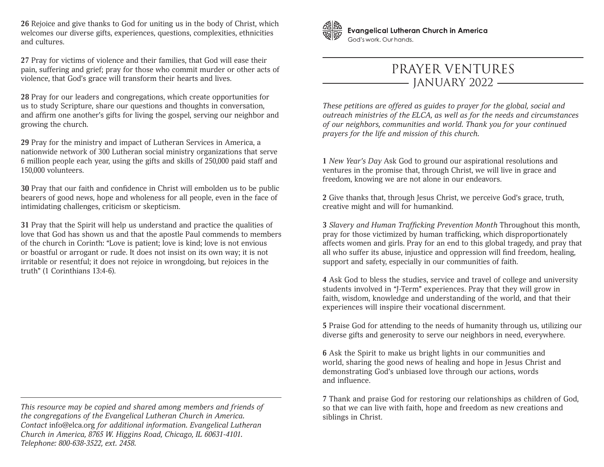**26** Rejoice and give thanks to God for uniting us in the body of Christ, which welcomes our diverse gifts, experiences, questions, complexities, ethnicities and cultures.

**27** Pray for victims of violence and their families, that God will ease their pain, suffering and grief; pray for those who commit murder or other acts of violence, that God's grace will transform their hearts and lives.

**28** Pray for our leaders and congregations, which create opportunities for us to study Scripture, share our questions and thoughts in conversation, and affirm one another's gifts for living the gospel, serving our neighbor and growing the church.

**29** Pray for the ministry and impact of Lutheran Services in America, a nationwide network of 300 Lutheran social ministry organizations that serve 6 million people each year, using the gifts and skills of 250,000 paid staff and 150,000 volunteers.

**30** Pray that our faith and confidence in Christ will embolden us to be public bearers of good news, hope and wholeness for all people, even in the face of intimidating challenges, criticism or skepticism.

**31** Pray that the Spirit will help us understand and practice the qualities of love that God has shown us and that the apostle Paul commends to members of the church in Corinth: "Love is patient; love is kind; love is not envious or boastful or arrogant or rude. It does not insist on its own way; it is not irritable or resentful; it does not rejoice in wrongdoing, but rejoices in the truth" (1 Corinthians 13:4-6).



**Evangelical Lutheran Church in America** God's work, Our hands.

## PRAYER VENTURES - JANUARY 2022 -

*These petitions are offered as guides to prayer for the global, social and outreach ministries of the ELCA, as well as for the needs and circumstances of our neighbors, communities and world. Thank you for your continued prayers for the life and mission of this church.*

**1** *New Year's Day* Ask God to ground our aspirational resolutions and ventures in the promise that, through Christ, we will live in grace and freedom, knowing we are not alone in our endeavors.

**2** Give thanks that, through Jesus Christ, we perceive God's grace, truth, creative might and will for humankind.

**3** *Slavery and Human Trafficking Prevention Month* Throughout this month, pray for those victimized by human trafficking, which disproportionately affects women and girls. Pray for an end to this global tragedy, and pray that all who suffer its abuse, injustice and oppression will find freedom, healing, support and safety, especially in our communities of faith.

**4** Ask God to bless the studies, service and travel of college and university students involved in "J-Term" experiences. Pray that they will grow in faith, wisdom, knowledge and understanding of the world, and that their experiences will inspire their vocational discernment.

**5** Praise God for attending to the needs of humanity through us, utilizing our diverse gifts and generosity to serve our neighbors in need, everywhere.

**6** Ask the Spirit to make us bright lights in our communities and world, sharing the good news of healing and hope in Jesus Christ and demonstrating God's unbiased love through our actions, words and influence.

**7** Thank and praise God for restoring our relationships as children of God, so that we can live with faith, hope and freedom as new creations and siblings in Christ.

*This resource may be copied and shared among members and friends of the congregations of the Evangelical Lutheran Church in America. Contact* info@elca.org *for additional information. Evangelical Lutheran Church in America, 8765 W. Higgins Road, Chicago, IL 60631-4101. Telephone: 800-638-3522, ext. 2458.*